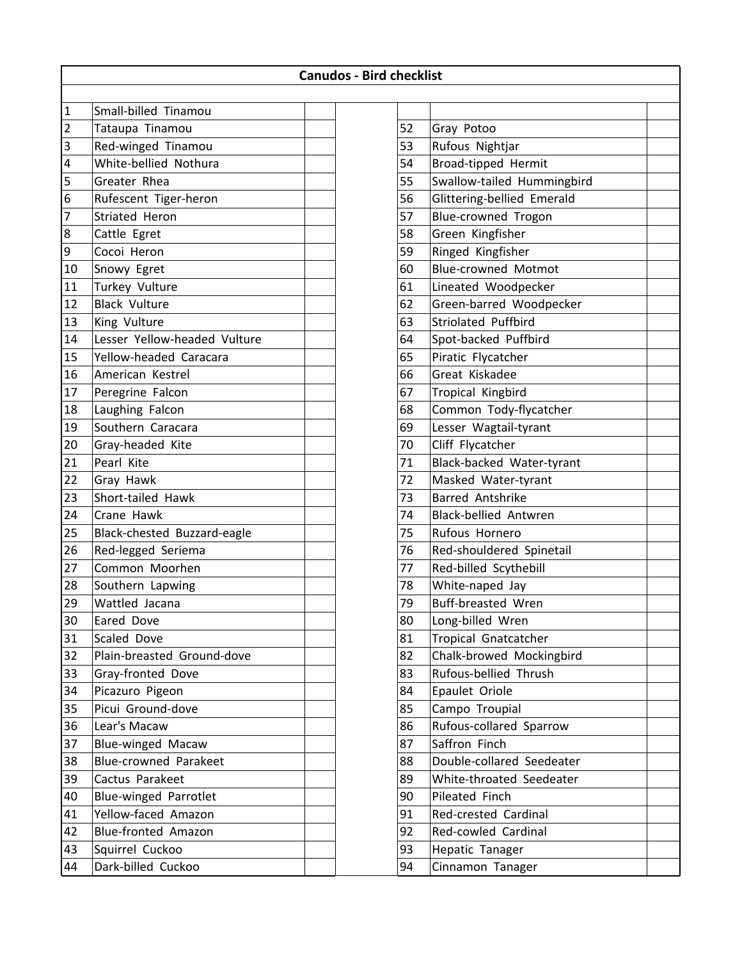|                        |                              | <b>Canudos - Bird checklist</b> |  |    |                              |  |  |  |
|------------------------|------------------------------|---------------------------------|--|----|------------------------------|--|--|--|
| $\mathbf{1}$           | Small-billed Tinamou         |                                 |  |    |                              |  |  |  |
| $\overline{c}$         | Tataupa Tinamou              |                                 |  | 52 | Gray Potoo                   |  |  |  |
| 3                      | Red-winged Tinamou           |                                 |  | 53 | Rufous Nightjar              |  |  |  |
| 4                      | White-bellied Nothura        |                                 |  | 54 | Broad-tipped Hermit          |  |  |  |
| 5                      | Greater Rhea                 |                                 |  | 55 | Swallow-tailed Hummingbird   |  |  |  |
| 6                      | Rufescent Tiger-heron        |                                 |  | 56 | Glittering-bellied Emerald   |  |  |  |
| 7                      | <b>Striated Heron</b>        |                                 |  | 57 | Blue-crowned Trogon          |  |  |  |
| $\bf 8$                |                              |                                 |  | 58 | Green Kingfisher             |  |  |  |
|                        | Cattle Egret<br>Cocoi Heron  |                                 |  | 59 | Ringed Kingfisher            |  |  |  |
| $\boldsymbol{9}$<br>10 |                              |                                 |  | 60 | <b>Blue-crowned Motmot</b>   |  |  |  |
| 11                     | Snowy Egret                  |                                 |  |    |                              |  |  |  |
|                        | Turkey Vulture               |                                 |  | 61 | Lineated Woodpecker          |  |  |  |
| 12                     | <b>Black Vulture</b>         |                                 |  | 62 | Green-barred Woodpecker      |  |  |  |
| 13                     | King Vulture                 |                                 |  | 63 | <b>Striolated Puffbird</b>   |  |  |  |
| 14                     | Lesser Yellow-headed Vulture |                                 |  | 64 | Spot-backed Puffbird         |  |  |  |
| 15                     | Yellow-headed Caracara       |                                 |  | 65 | Piratic Flycatcher           |  |  |  |
| 16                     | American Kestrel             |                                 |  | 66 | Great Kiskadee               |  |  |  |
| 17                     | Peregrine Falcon             |                                 |  | 67 | Tropical Kingbird            |  |  |  |
| 18                     | Laughing Falcon              |                                 |  | 68 | Common Tody-flycatcher       |  |  |  |
| 19                     | Southern Caracara            |                                 |  | 69 | Lesser Wagtail-tyrant        |  |  |  |
| 20                     | Gray-headed Kite             |                                 |  | 70 | Cliff Flycatcher             |  |  |  |
| 21                     | Pearl Kite                   |                                 |  | 71 | Black-backed Water-tyrant    |  |  |  |
| 22                     | Gray Hawk                    |                                 |  | 72 | Masked Water-tyrant          |  |  |  |
| 23                     | Short-tailed Hawk            |                                 |  | 73 | <b>Barred Antshrike</b>      |  |  |  |
| 24                     | Crane Hawk                   |                                 |  | 74 | <b>Black-bellied Antwren</b> |  |  |  |
| 25                     | Black-chested Buzzard-eagle  |                                 |  | 75 | Rufous Hornero               |  |  |  |
| 26                     | Red-legged Seriema           |                                 |  | 76 | Red-shouldered Spinetail     |  |  |  |
| 27                     | Common Moorhen               |                                 |  | 77 | Red-billed Scythebill        |  |  |  |
| 28                     | Southern Lapwing             |                                 |  | 78 | White-naped Jay              |  |  |  |
| 29                     | Wattled Jacana               |                                 |  | 79 | <b>Buff-breasted Wren</b>    |  |  |  |
| 30                     | Eared Dove                   |                                 |  | 80 | Long-billed Wren             |  |  |  |
| 31                     | Scaled Dove                  |                                 |  | 81 | Tropical Gnatcatcher         |  |  |  |
| 32                     | Plain-breasted Ground-dove   |                                 |  | 82 | Chalk-browed Mockingbird     |  |  |  |
| 33                     | Gray-fronted Dove            |                                 |  | 83 | Rufous-bellied Thrush        |  |  |  |
| 34                     | Picazuro Pigeon              |                                 |  | 84 | Epaulet Oriole               |  |  |  |
| 35                     | Picui Ground-dove            |                                 |  | 85 | Campo Troupial               |  |  |  |
| 36                     | Lear's Macaw                 |                                 |  | 86 | Rufous-collared Sparrow      |  |  |  |
| 37                     | Blue-winged Macaw            |                                 |  | 87 | Saffron Finch                |  |  |  |
| 38                     | Blue-crowned Parakeet        |                                 |  | 88 | Double-collared Seedeater    |  |  |  |
| 39                     | Cactus Parakeet              |                                 |  | 89 | White-throated Seedeater     |  |  |  |
| 40                     | <b>Blue-winged Parrotlet</b> |                                 |  | 90 | Pileated Finch               |  |  |  |
| 41                     | Yellow-faced Amazon          |                                 |  | 91 | Red-crested Cardinal         |  |  |  |
| 42                     | Blue-fronted Amazon          |                                 |  | 92 | Red-cowled Cardinal          |  |  |  |
| 43                     | Squirrel Cuckoo              |                                 |  | 93 | Hepatic Tanager              |  |  |  |
| 44                     | Dark-billed Cuckoo           |                                 |  | 94 | Cinnamon Tanager             |  |  |  |

| 52       | Gray Potoo                                      |  |
|----------|-------------------------------------------------|--|
| 53       | Rufous Nightjar                                 |  |
| 54       | Broad-tipped Hermit                             |  |
| 55       | Swallow-tailed Hummingbird                      |  |
| 56       | Glittering-bellied Emerald                      |  |
| 57       |                                                 |  |
|          | <b>Blue-crowned Trogon</b>                      |  |
| 58<br>59 | Green Kingfisher                                |  |
| 60       | Ringed Kingfisher<br><b>Blue-crowned Motmot</b> |  |
|          |                                                 |  |
| 61       | Lineated Woodpecker                             |  |
| 62       | Green-barred Woodpecker                         |  |
| 63       | <b>Striolated Puffbird</b>                      |  |
| 64       | Spot-backed Puffbird                            |  |
| 65       | Piratic Flycatcher                              |  |
| 66       | Great Kiskadee                                  |  |
| 67       | Tropical Kingbird                               |  |
| 68       | Common Tody-flycatcher                          |  |
| 69       | Lesser Wagtail-tyrant                           |  |
| 70       | Cliff Flycatcher                                |  |
| 71       | Black-backed Water-tyrant                       |  |
| 72       | Masked Water-tyrant                             |  |
| 73       | <b>Barred Antshrike</b>                         |  |
| 74       | <b>Black-bellied Antwren</b>                    |  |
| 75       | Rufous Hornero                                  |  |
| 76       | Red-shouldered Spinetail                        |  |
| 77       | Red-billed Scythebill                           |  |
| 78       | White-naped Jay                                 |  |
| 79       | <b>Buff-breasted Wren</b>                       |  |
| 80       | Long-billed Wren                                |  |
| 81       | <b>Tropical Gnatcatcher</b>                     |  |
| 82       | Chalk-browed Mockingbird                        |  |
| 83       | Rufous-bellied Thrush                           |  |
| 84       | Epaulet Oriole                                  |  |
| 85       | Campo Troupial                                  |  |
| 86       | Rufous-collared Sparrow                         |  |
| 87       | Saffron Finch                                   |  |
| 88       | Double-collared Seedeater                       |  |
| 89       | White-throated Seedeater                        |  |
| 90       | Pileated Finch                                  |  |
| 91       | Red-crested Cardinal                            |  |
| 92       | Red-cowled Cardinal                             |  |
| 93       | Hepatic Tanager                                 |  |
| 94       | Cinnamon Tanager                                |  |
|          |                                                 |  |